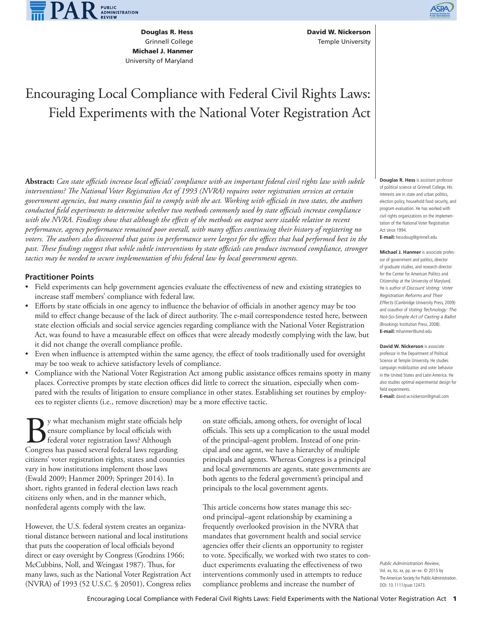

**Douglas R. Hess** Grinnell College **Michael J. Hanmer** University of Maryland

# Encouraging Local Compliance with Federal Civil Rights Laws: Field Experiments with the National Voter Registration Act

Abstract: Can state officials increase local officials' compliance with an important federal civil rights law with subtle interventions? The National Voter Registration Act of 1993 (NVRA) requires voter registration services at certain *government agencies, but many counties fail to comply with the act. Working with offi cials in two states, the authors conducted fi eld experiments to determine whether two methods commonly used by state offi cials increase compliance*  with the NVRA. Findings show that although the effects of the methods on output were sizable relative to recent *performance, agency performance remained poor overall, with many offices continuing their history of registering no voters. Th e authors also discovered that gains in performance were largest for the offi ces that had performed best in the*  past. These findings suggest that while subtle interventions by state officials can produce increased compliance, stronger *tactics may be needed to secure implementation of this federal law by local government agents.*

## **Practitioner Points**

- Field experiments can help government agencies evaluate the effectiveness of new and existing strategies to increase staff members' compliance with federal law.
- Efforts by state officials in one agency to influence the behavior of officials in another agency may be too mild to effect change because of the lack of direct authority. The e-mail correspondence tested here, between state election officials and social service agencies regarding compliance with the National Voter Registration Act, was found to have a measurable effect on offices that were already modestly complying with the law, but it did not change the overall compliance profile.
- Even when influence is attempted within the same agency, the effect of tools traditionally used for oversight may be too weak to achieve satisfactory levels of compliance.
- Compliance with the National Voter Registration Act among public assistance offices remains spotty in many places. Corrective prompts by state election offices did little to correct the situation, especially when compared with the results of litigation to ensure compliance in other states. Establishing set routines by employees to register clients (i.e., remove discretion) may be a more effective tactic.

y what mechanism might state officials help ensure compliance by local officials with federal voter registration laws? Although Congress has passed several federal laws regarding citizens' voter registration rights, states and counties vary in how institutions implement those laws (Ewald 2009; Hanmer 2009; Springer 2014). In short, rights granted in federal election laws reach citizens only when, and in the manner which, nonfederal agents comply with the law.

However, the U.S. federal system creates an organizational distance between national and local institutions that puts the cooperation of local officials beyond direct or easy oversight by Congress (Grodzins 1966; McCubbins, Noll, and Weingast 1987). Thus, for many laws, such as the National Voter Registration Act (NVRA) of 1993 (52 U.S.C. § 20501), Congress relies on state officials, among others, for oversight of local officials. This sets up a complication to the usual model of the principal–agent problem. Instead of one principal and one agent, we have a hierarchy of multiple principals and agents. Whereas Congress is a principal and local governments are agents, state governments are both agents to the federal government's principal and principals to the local government agents.

This article concerns how states manage this second principal–agent relationship by examining a frequently overlooked provision in the NVRA that mandates that government health and social service agencies offer their clients an opportunity to register to vote. Specifically, we worked with two states to conduct experiments evaluating the effectiveness of two interventions commonly used in attempts to reduce compliance problems and increase the number of

**Douglas R. Hess** is assistant professor of political science at Grinnell College. His interests are in state and urban politics, election policy, household food security, and program evaluation. He has worked with civil rights organizations on the implementation of the National Voter Registration Act since 1994. **E-mail:** hessdoug@grinnell.edu

**Michael J. Hanmer** is associate professor of government and politics, director of graduate studies, and research director for the Center for American Politics and Citizenship at the University of Maryland. He is author of *Discount Voting: Voter Registration Reforms and Their Effects* (Cambridge University Press, 2009) and coauthor of *Voting Technology: The Not-So-Simple Act of Casting a Ballot*  (Brookings Institution Press, 2008). **E-mail:** mhanmer@umd.edu

**David W. Nickerson** is associate professor in the Department of Political Science at Temple University. He studies campaign mobilization and voter behavior in the United States and Latin America. He also studies optimal experimental design for field experiments. **E-mail:** david.w.nickerson@gmail.com

*Public Administration Review*, Vol. xx, Iss. xx, pp. xx–xx. © 2015 by The American Society for Public Administration. DOI: 10.1111/puar.12473.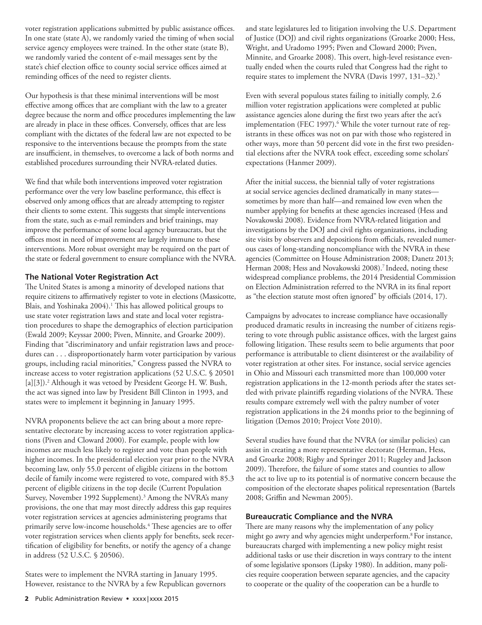voter registration applications submitted by public assistance offices. In one state (state A), we randomly varied the timing of when social service agency employees were trained. In the other state (state B), we randomly varied the content of e-mail messages sent by the state's chief election office to county social service offices aimed at reminding offices of the need to register clients.

Our hypothesis is that these minimal interventions will be most effective among offices that are compliant with the law to a greater degree because the norm and office procedures implementing the law are already in place in these offices. Conversely, offices that are less compliant with the dictates of the federal law are not expected to be responsive to the interventions because the prompts from the state are insufficient, in themselves, to overcome a lack of both norms and established procedures surrounding their NVRA-related duties.

We find that while both interventions improved voter registration performance over the very low baseline performance, this effect is observed only among offices that are already attempting to register their clients to some extent. This suggests that simple interventions from the state, such as e-mail reminders and brief trainings, may improve the performance of some local agency bureaucrats, but the offices most in need of improvement are largely immune to these interventions. More robust oversight may be required on the part of the state or federal government to ensure compliance with the NVRA.

# **The National Voter Registration Act**

The United States is among a minority of developed nations that require citizens to affirmatively register to vote in elections (Massicotte, Blais, and Yoshinaka 2004).<sup>1</sup> This has allowed political groups to use state voter registration laws and state and local voter registration procedures to shape the demographics of election participation (Ewald 2009; Keyssar 2000; Piven, Minnite, and Groarke 2009). Finding that "discriminatory and unfair registration laws and procedures can . . . disproportionately harm voter participation by various groups, including racial minorities," Congress passed the NVRA to increase access to voter registration applications (52 U.S.C. § 20501 [a][3]).2 Although it was vetoed by President George H. W. Bush, the act was signed into law by President Bill Clinton in 1993, and states were to implement it beginning in January 1995.

NVRA proponents believe the act can bring about a more representative electorate by increasing access to voter registration applications (Piven and Cloward 2000). For example, people with low incomes are much less likely to register and vote than people with higher incomes. In the presidential election year prior to the NVRA becoming law, only 55.0 percent of eligible citizens in the bottom decile of family income were registered to vote, compared with 85.3 percent of eligible citizens in the top decile (Current Population Survey, November 1992 Supplement).3 Among the NVRA's many provisions, the one that may most directly address this gap requires voter registration services at agencies administering programs that primarily serve low-income households.<sup>4</sup> These agencies are to offer voter registration services when clients apply for benefits, seek recertification of eligibility for benefits, or notify the agency of a change in address (52 U.S.C. § 20506).

States were to implement the NVRA starting in January 1995. However, resistance to the NVRA by a few Republican governors Even with several populous states failing to initially comply, 2.6 million voter registration applications were completed at public assistance agencies alone during the first two years after the act's implementation (FEC 1997).<sup>6</sup> While the voter turnout rate of registrants in these offices was not on par with those who registered in other ways, more than 50 percent did vote in the first two presidential elections after the NVRA took effect, exceeding some scholars' expectations (Hanmer 2009).

After the initial success, the biennial tally of voter registrations at social service agencies declined dramatically in many states sometimes by more than half—and remained low even when the number applying for benefits at these agencies increased (Hess and Novakowski 2008). Evidence from NVRA-related litigation and investigations by the DOJ and civil rights organizations, including site visits by observers and depositions from officials, revealed numerous cases of long-standing noncompliance with the NVRA in these agencies (Committee on House Administration 2008; Danetz 2013; Herman 2008; Hess and Novakowski 2008).<sup>7</sup> Indeed, noting these widespread compliance problems, the 2014 Presidential Commission on Election Administration referred to the NVRA in its final report as "the election statute most often ignored" by officials (2014, 17).

Campaigns by advocates to increase compliance have occasionally produced dramatic results in increasing the number of citizens registering to vote through public assistance offices, with the largest gains following litigation. These results seem to belie arguments that poor performance is attributable to client disinterest or the availability of voter registration at other sites. For instance, social service agencies in Ohio and Missouri each transmitted more than 100,000 voter registration applications in the 12-month periods after the states settled with private plaintiffs regarding violations of the NVRA. These results compare extremely well with the paltry number of voter registration applications in the 24 months prior to the beginning of litigation (Demos 2010; Project Vote 2010).

Several studies have found that the NVRA (or similar policies) can assist in creating a more representative electorate (Herman, Hess, and Groarke 2008; Rigby and Springer 2011; Rugeley and Jackson 2009). Therefore, the failure of some states and counties to allow the act to live up to its potential is of normative concern because the composition of the electorate shapes political representation (Bartels 2008; Griffin and Newman 2005).

# **Bureaucratic Compliance and the NVRA**

There are many reasons why the implementation of any policy might go awry and why agencies might underperform.8 For instance, bureaucrats charged with implementing a new policy might resist additional tasks or use their discretion in ways contrary to the intent of some legislative sponsors (Lipsky 1980). In addition, many policies require cooperation between separate agencies, and the capacity to cooperate or the quality of the cooperation can be a hurdle to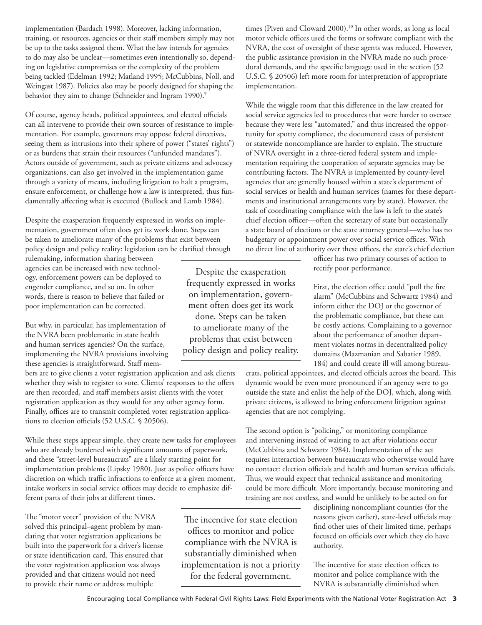implementation (Bardach 1998). Moreover, lacking information, training, or resources, agencies or their staff members simply may not be up to the tasks assigned them. What the law intends for agencies to do may also be unclear—sometimes even intentionally so, depending on legislative compromises or the complexity of the problem being tackled (Edelman 1992; Matland 1995; McCubbins, Noll, and Weingast 1987). Policies also may be poorly designed for shaping the behavior they aim to change (Schneider and Ingram 1990).<sup>9</sup>

Of course, agency heads, political appointees, and elected officials can all intervene to provide their own sources of resistance to implementation. For example, governors may oppose federal directives, seeing them as intrusions into their sphere of power ("states' rights") or as burdens that strain their resources ("unfunded mandates"). Actors outside of government, such as private citizens and advocacy organizations, can also get involved in the implementation game through a variety of means, including litigation to halt a program, ensure enforcement, or challenge how a law is interpreted, thus fundamentally affecting what is executed (Bullock and Lamb 1984).

Despite the exasperation frequently expressed in works on implementation, government often does get its work done. Steps can be taken to ameliorate many of the problems that exist between policy design and policy reality: legislation can be clarified through

rulemaking, information sharing between agencies can be increased with new technology, enforcement powers can be deployed to engender compliance, and so on. In other words, there is reason to believe that failed or poor implementation can be corrected.

But why, in particular, has implementation of the NVRA been problematic in state health and human services agencies? On the surface, implementing the NVRA provisions involving these agencies is straightforward. Staff mem-

bers are to give clients a voter registration application and ask clients whether they wish to register to vote. Clients' responses to the offers are then recorded, and staff members assist clients with the voter registration application as they would for any other agency form. Finally, offices are to transmit completed voter registration applications to election officials (52 U.S.C. § 20506).

While these steps appear simple, they create new tasks for employees who are already burdened with significant amounts of paperwork, and these "street-level bureaucrats" are a likely starting point for implementation problems (Lipsky 1980). Just as police officers have discretion on which traffic infractions to enforce at a given moment, intake workers in social service offices may decide to emphasize different parts of their jobs at different times.

The "motor voter" provision of the NVRA solved this principal–agent problem by mandating that voter registration applications be built into the paperwork for a driver's license or state identification card. This ensured that the voter registration application was always provided and that citizens would not need to provide their name or address multiple

Despite the exasperation frequently expressed in works on implementation, government often does get its work done. Steps can be taken to ameliorate many of the problems that exist between policy design and policy reality.

The incentive for state election offices to monitor and police compliance with the NVRA is substantially diminished when implementation is not a priority for the federal government.

times (Piven and Cloward 2000).10 In other words, as long as local motor vehicle offices used the forms or software compliant with the NVRA, the cost of oversight of these agents was reduced. However, the public assistance provision in the NVRA made no such procedural demands, and the specific language used in the section (52 U.S.C. § 20506) left more room for interpretation of appropriate implementation.

While the wiggle room that this difference in the law created for social service agencies led to procedures that were harder to oversee because they were less "automated," and thus increased the opportunity for spotty compliance, the documented cases of persistent or statewide noncompliance are harder to explain. The structure of NVRA oversight in a three-tiered federal system and implementation requiring the cooperation of separate agencies may be contributing factors. The NVRA is implemented by county-level agencies that are generally housed within a state's department of social services or health and human services (names for these departments and institutional arrangements vary by state). However, the task of coordinating compliance with the law is left to the state's chief election officer—often the secretary of state but occasionally a state board of elections or the state attorney general—who has no budgetary or appointment power over social service offices. With no direct line of authority over these offices, the state's chief election

> officer has two primary courses of action to rectify poor performance.

First, the election office could "pull the fire" alarm" (McCubbins and Schwartz 1984) and inform either the DOJ or the governor of the problematic compliance, but these can be costly actions. Complaining to a governor about the performance of another department violates norms in decentralized policy domains (Mazmanian and Sabatier 1989, 184) and could create ill will among bureau-

crats, political appointees, and elected officials across the board. This dynamic would be even more pronounced if an agency were to go outside the state and enlist the help of the DOJ, which, along with private citizens, is allowed to bring enforcement litigation against agencies that are not complying.

The second option is "policing," or monitoring compliance and intervening instead of waiting to act after violations occur (McCubbins and Schwartz 1984). Implementation of the act requires interaction between bureaucrats who otherwise would have no contact: election officials and health and human services officials. Thus, we would expect that technical assistance and monitoring could be more difficult. More importantly, because monitoring and training are not costless, and would be unlikely to be acted on for

> disciplining noncompliant counties (for the reasons given earlier), state-level officials may find other uses of their limited time, perhaps focused on officials over which they do have authority.

The incentive for state election offices to monitor and police compliance with the NVRA is substantially diminished when

Encouraging Local Compliance with Federal Civil Rights Laws: Field Experiments with the National Voter Registration Act **3**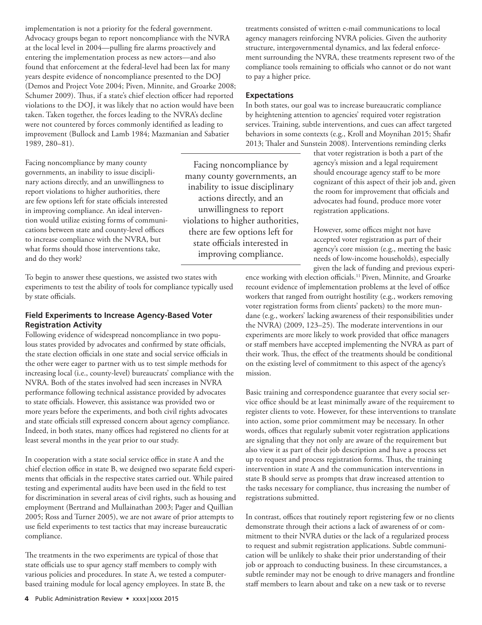implementation is not a priority for the federal government. Advocacy groups began to report noncompliance with the NVRA at the local level in 2004—pulling fire alarms proactively and entering the implementation process as new actors—and also found that enforcement at the federal-level had been lax for many years despite evidence of noncompliance presented to the DOJ (Demos and Project Vote 2004; Piven, Minnite, and Groarke 2008; Schumer 2009). Thus, if a state's chief election officer had reported violations to the DOJ, it was likely that no action would have been taken. Taken together, the forces leading to the NVRA's decline were not countered by forces commonly identified as leading to improvement (Bullock and Lamb 1984; Mazmanian and Sabatier 1989, 280–81).

Facing noncompliance by many county governments, an inability to issue disciplinary actions directly, and an unwillingness to report violations to higher authorities, there are few options left for state officials interested in improving compliance. An ideal intervention would utilize existing forms of communications between state and county-level offices to increase compliance with the NVRA, but what forms should those interventions take, and do they work?

To begin to answer these questions, we assisted two states with experiments to test the ability of tools for compliance typically used by state officials.

## **Field Experiments to Increase Agency-Based Voter Registration Activity**

Following evidence of widespread noncompliance in two populous states provided by advocates and confirmed by state officials, the state election officials in one state and social service officials in the other were eager to partner with us to test simple methods for increasing local (i.e., county-level) bureaucrats' compliance with the NVRA. Both of the states involved had seen increases in NVRA performance following technical assistance provided by advocates to state officials. However, this assistance was provided two or more years before the experiments, and both civil rights advocates and state officials still expressed concern about agency compliance. Indeed, in both states, many offices had registered no clients for at least several months in the year prior to our study.

In cooperation with a state social service office in state A and the chief election office in state B, we designed two separate field experiments that officials in the respective states carried out. While paired testing and experimental audits have been used in the field to test for discrimination in several areas of civil rights, such as housing and employment (Bertrand and Mullainathan 2003; Pager and Quillian 2005; Ross and Turner 2005), we are not aware of prior attempts to use field experiments to test tactics that may increase bureaucratic compliance.

The treatments in the two experiments are typical of those that state officials use to spur agency staff members to comply with various policies and procedures. In state A, we tested a computerbased training module for local agency employees. In state B, the

treatments consisted of written e-mail communications to local agency managers reinforcing NVRA policies. Given the authority structure, intergovernmental dynamics, and lax federal enforcement surrounding the NVRA, these treatments represent two of the compliance tools remaining to officials who cannot or do not want to pay a higher price.

## **Expectations**

In both states, our goal was to increase bureaucratic compliance by heightening attention to agencies' required voter registration services. Training, subtle interventions, and cues can affect targeted behaviors in some contexts (e.g., Kroll and Moynihan 2015; Shafir 2013; Thaler and Sunstein 2008). Interventions reminding clerks

that voter registration is both a part of the agency's mission and a legal requirement should encourage agency staff to be more cognizant of this aspect of their job and, given the room for improvement that officials and advocates had found, produce more voter registration applications.

However, some offices might not have accepted voter registration as part of their agency's core mission (e.g., meeting the basic needs of low-income households), especially given the lack of funding and previous experi-

ence working with election officials.<sup>11</sup> Piven, Minnite, and Groarke recount evidence of implementation problems at the level of office workers that ranged from outright hostility (e.g., workers removing voter registration forms from clients' packets) to the more mundane (e.g., workers' lacking awareness of their responsibilities under the NVRA) (2009, 123-25). The moderate interventions in our experiments are more likely to work provided that office managers or staff members have accepted implementing the NVRA as part of their work. Thus, the effect of the treatments should be conditional on the existing level of commitment to this aspect of the agency's mission.

Basic training and correspondence guarantee that every social service office should be at least minimally aware of the requirement to register clients to vote. However, for these interventions to translate into action, some prior commitment may be necessary. In other words, offices that regularly submit voter registration applications are signaling that they not only are aware of the requirement but also view it as part of their job description and have a process set up to request and process registration forms. Thus, the training intervention in state A and the communication interventions in state B should serve as prompts that draw increased attention to the tasks necessary for compliance, thus increasing the number of registrations submitted.

In contrast, offices that routinely report registering few or no clients demonstrate through their actions a lack of awareness of or commitment to their NVRA duties or the lack of a regularized process to request and submit registration applications. Subtle communication will be unlikely to shake their prior understanding of their job or approach to conducting business. In these circumstances, a subtle reminder may not be enough to drive managers and frontline staff members to learn about and take on a new task or to reverse

Facing noncompliance by many county governments, an inability to issue disciplinary actions directly, and an unwillingness to report violations to higher authorities, there are few options left for state officials interested in improving compliance.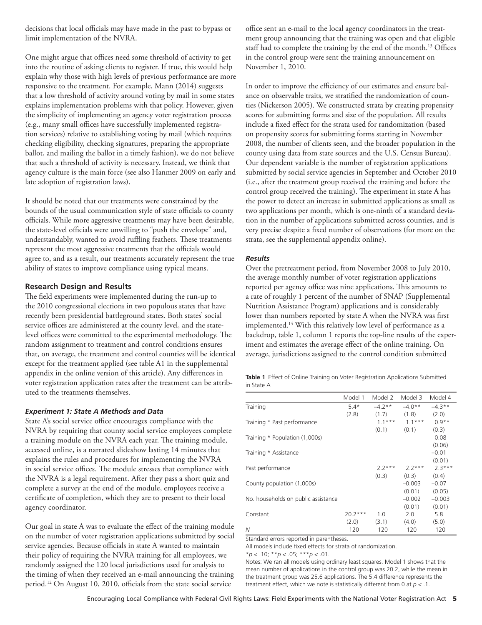decisions that local officials may have made in the past to bypass or limit implementation of the NVRA.

One might argue that offices need some threshold of activity to get into the routine of asking clients to register. If true, this would help explain why those with high levels of previous performance are more responsive to the treatment. For example, Mann (2014) suggests that a low threshold of activity around voting by mail in some states explains implementation problems with that policy. However, given the simplicity of implementing an agency voter registration process (e.g., many small offices have successfully implemented registration services) relative to establishing voting by mail (which requires checking eligibility, checking signatures, preparing the appropriate ballot, and mailing the ballot in a timely fashion), we do not believe that such a threshold of activity is necessary. Instead, we think that agency culture is the main force (see also Hanmer 2009 on early and late adoption of registration laws).

It should be noted that our treatments were constrained by the bounds of the usual communication style of state officials to county officials. While more aggressive treatments may have been desirable, the state-level officials were unwilling to "push the envelope" and, understandably, wanted to avoid ruffling feathers. These treatments represent the most aggressive treatments that the officials would agree to, and as a result, our treatments accurately represent the true ability of states to improve compliance using typical means.

## **Research Design and Results**

The field experiments were implemented during the run-up to the 2010 congressional elections in two populous states that have recently been presidential battleground states. Both states' social service offices are administered at the county level, and the statelevel offices were committed to the experimental methodology. The random assignment to treatment and control conditions ensures that, on average, the treatment and control counties will be identical except for the treatment applied (see table A1 in the supplemental appendix in the online version of this article). Any differences in voter registration application rates after the treatment can be attributed to the treatments themselves.

#### *Experiment 1: State A Methods and Data*

State A's social service office encourages compliance with the NVRA by requiring that county social service employees complete a training module on the NVRA each year. The training module, accessed online, is a narrated slideshow lasting 14 minutes that explains the rules and procedures for implementing the NVRA in social service offices. The module stresses that compliance with the NVRA is a legal requirement. After they pass a short quiz and complete a survey at the end of the module, employees receive a certificate of completion, which they are to present to their local agency coordinator.

Our goal in state A was to evaluate the effect of the training module on the number of voter registration applications submitted by social service agencies. Because officials in state A wanted to maintain their policy of requiring the NVRA training for all employees, we randomly assigned the 120 local jurisdictions used for analysis to the timing of when they received an e-mail announcing the training period.<sup>12</sup> On August 10, 2010, officials from the state social service

office sent an e-mail to the local agency coordinators in the treatment group announcing that the training was open and that eligible staff had to complete the training by the end of the month.<sup>13</sup> Offices in the control group were sent the training announcement on November 1, 2010.

In order to improve the efficiency of our estimates and ensure balance on observable traits, we stratified the randomization of counties (Nickerson 2005). We constructed strata by creating propensity scores for submitting forms and size of the population. All results include a fixed effect for the strata used for randomization (based on propensity scores for submitting forms starting in November 2008, the number of clients seen, and the broader population in the county using data from state sources and the U.S. Census Bureau). Our dependent variable is the number of registration applications submitted by social service agencies in September and October 2010 (i.e., after the treatment group received the training and before the control group received the training). The experiment in state A has the power to detect an increase in submitted applications as small as two applications per month, which is one-ninth of a standard deviation in the number of applications submitted across counties, and is very precise despite a fixed number of observations (for more on the strata, see the supplemental appendix online).

#### *Results*

Over the pretreatment period, from November 2008 to July 2010, the average monthly number of voter registration applications reported per agency office was nine applications. This amounts to a rate of roughly 1 percent of the number of SNAP (Supplemental Nutrition Assistance Program) applications and is considerably lower than numbers reported by state A when the NVRA was first implemented.14 With this relatively low level of performance as a backdrop, table 1, column 1 reports the top-line results of the experiment and estimates the average effect of the online training. On average, jurisdictions assigned to the control condition submitted

**Table 1** Effect of Online Training on Voter Registration Applications Submitted in State A

|                                     | Model 1   | Model 2  | Model 3  | Model 4  |
|-------------------------------------|-----------|----------|----------|----------|
| Training                            | $5.4*$    | $-4.2**$ | $-4.0**$ | $-4.3**$ |
|                                     | (2.8)     | (1.7)    | (1.8)    | (2.0)    |
| Training * Past performance         |           | $11***$  | $11***$  | $0.9**$  |
|                                     |           | (0.1)    | (0.1)    | (0.3)    |
| Training * Population (1,000s)      |           |          |          | 0.08     |
|                                     |           |          |          | (0.06)   |
| Training * Assistance               |           |          |          | $-0.01$  |
|                                     |           |          |          | (0.01)   |
| Past performance                    |           | $22***$  | $22***$  | $2.3***$ |
|                                     |           | (0.3)    | (0.3)    | (0.4)    |
| County population (1,000s)          |           |          | $-0.003$ | $-0.07$  |
|                                     |           |          | (0.01)   | (0.05)   |
| No. households on public assistance |           |          | $-0.002$ | $-0.003$ |
|                                     |           |          | (0.01)   | (0.01)   |
| Constant                            | $20.2***$ | 1.0      | 2.0      | 5.8      |
|                                     | (2.0)     | (3.1)    | (4.0)    | (5.0)    |
| N                                   | 120       | 120      | 120      | 120      |

Standard errors reported in parentheses.

All models include fixed effects for strata of randomization.

\**p* < .10; \*\**p* < .05; \*\*\**p* < .01.

Notes: We ran all models using ordinary least squares. Model 1 shows that the mean number of applications in the control group was 20.2, while the mean in the treatment group was 25.6 applications. The 5.4 difference represents the treatment effect, which we note is statistically different from 0 at *p* < .1.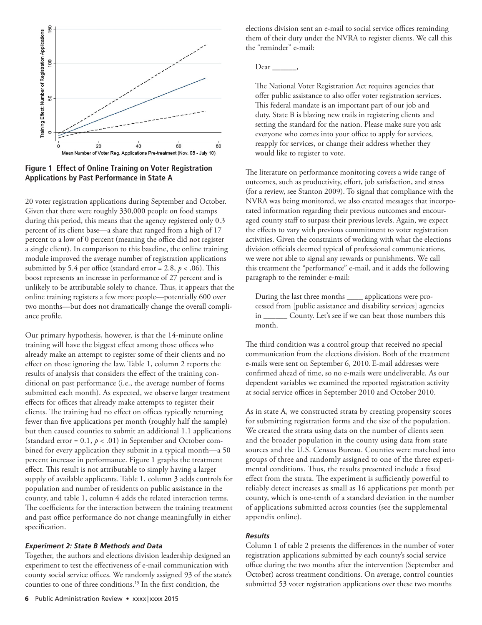

**Figure 1 Effect of Online Training on Voter Registration Applications by Past Performance in State A**

20 voter registration applications during September and October. Given that there were roughly 330,000 people on food stamps during this period, this means that the agency registered only 0.3 percent of its client base—a share that ranged from a high of 17 percent to a low of 0 percent (meaning the office did not register a single client). In comparison to this baseline, the online training module improved the average number of registration applications submitted by 5.4 per office (standard error = 2.8,  $p < .06$ ). This boost represents an increase in performance of 27 percent and is unlikely to be attributable solely to chance. Thus, it appears that the online training registers a few more people—potentially 600 over two months—but does not dramatically change the overall compliance profile.

Our primary hypothesis, however, is that the 14-minute online training will have the biggest effect among those offices who already make an attempt to register some of their clients and no effect on those ignoring the law. Table 1, column 2 reports the results of analysis that considers the effect of the training conditional on past performance (i.e., the average number of forms submitted each month). As expected, we observe larger treatment effects for offices that already make attempts to register their clients. The training had no effect on offices typically returning fewer than five applications per month (roughly half the sample) but then caused counties to submit an additional 1.1 applications (standard error =  $0.1$ ,  $p < .01$ ) in September and October combined for every application they submit in a typical month—a 50 percent increase in performance. Figure 1 graphs the treatment effect. This result is not attributable to simply having a larger supply of available applicants. Table 1, column 3 adds controls for population and number of residents on public assistance in the county, and table 1, column 4 adds the related interaction terms. The coefficients for the interaction between the training treatment and past office performance do not change meaningfully in either specification.

## *Experiment 2: State B Methods and Data*

Together, the authors and elections division leadership designed an experiment to test the effectiveness of e-mail communication with county social service offices. We randomly assigned 93 of the state's counties to one of three conditions.<sup>15</sup> In the first condition, the

elections division sent an e-mail to social service offices reminding them of their duty under the NVRA to register clients. We call this the "reminder" e-mail:

 $Dear$   $\_\_$ 

The National Voter Registration Act requires agencies that offer public assistance to also offer voter registration services. This federal mandate is an important part of our job and duty. State B is blazing new trails in registering clients and setting the standard for the nation. Please make sure you ask everyone who comes into your office to apply for services, reapply for services, or change their address whether they would like to register to vote.

The literature on performance monitoring covers a wide range of outcomes, such as productivity, effort, job satisfaction, and stress (for a review, see Stanton 2009). To signal that compliance with the NVRA was being monitored, we also created messages that incorporated information regarding their previous outcomes and encouraged county staff to surpass their previous levels. Again, we expect the effects to vary with previous commitment to voter registration activities. Given the constraints of working with what the elections division officials deemed typical of professional communications, we were not able to signal any rewards or punishments. We call this treatment the "performance" e-mail, and it adds the following paragraph to the reminder e-mail:

During the last three months \_\_\_\_ applications were processed from [public assistance and disability services] agencies in \_\_\_\_\_\_ County. Let's see if we can beat those numbers this month.

The third condition was a control group that received no special communication from the elections division. Both of the treatment e-mails were sent on September 6, 2010.E-mail addresses were confirmed ahead of time, so no e-mails were undeliverable. As our dependent variables we examined the reported registration activity at social service offices in September 2010 and October 2010.

As in state A, we constructed strata by creating propensity scores for submitting registration forms and the size of the population. We created the strata using data on the number of clients seen and the broader population in the county using data from state sources and the U.S. Census Bureau. Counties were matched into groups of three and randomly assigned to one of the three experimental conditions. Thus, the results presented include a fixed effect from the strata. The experiment is sufficiently powerful to reliably detect increases as small as 16 applications per month per county, which is one-tenth of a standard deviation in the number of applications submitted across counties (see the supplemental appendix online).

### *Results*

Column 1 of table 2 presents the differences in the number of voter registration applications submitted by each county's social service office during the two months after the intervention (September and October) across treatment conditions. On average, control counties submitted 53 voter registration applications over these two months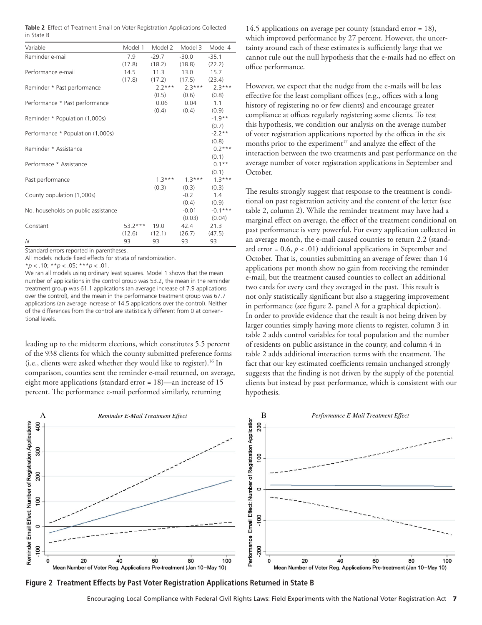|            |  |  | <b>Table 2</b> Effect of Treatment Email on Voter Registration Applications Collected |  |
|------------|--|--|---------------------------------------------------------------------------------------|--|
| in State B |  |  |                                                                                       |  |

| Variable                            | Model 1 | Model 2 | Model 3         | Model 4   |
|-------------------------------------|---------|---------|-----------------|-----------|
| Reminder e-mail                     | 7.9     | $-29.7$ | $-30.0$         | $-35.1$   |
|                                     | (17.8)  | (18.2)  | (18.8)          | (22.2)    |
| Performance e-mail                  | 14.5    | 11.3    | 13.0            | 15.7      |
|                                     | (17.8)  | (17.2)  | (17.5)          | (23.4)    |
| Reminder * Past performance         |         |         | $22***$ 23***   | $2.3***$  |
|                                     |         | (0.5)   | (0.6)           | (0.8)     |
| Performance * Past performance      |         | 0.06    | 0.04            | 1.1       |
|                                     |         | (0.4)   | (0.4)           | (0.9)     |
| Reminder * Population (1,000s)      |         |         |                 | $-1.9**$  |
|                                     |         |         |                 | (0.7)     |
| Performance * Population (1,000s)   |         |         |                 | $-2.2**$  |
|                                     |         |         |                 | (0.8)     |
| Reminder * Assistance               |         |         |                 | $0.2***$  |
|                                     |         |         |                 | (0.1)     |
| Performace * Assistance             |         |         |                 | $0.1**$   |
|                                     |         |         |                 | (0.1)     |
| Past performance                    |         |         | $13***$ $13***$ | $1.3***$  |
|                                     |         | (0.3)   | (0.3)           | (0.3)     |
| County population (1,000s)          |         |         | $-0.2$          | 1.4       |
|                                     |         |         | (0.4)           | (0.9)     |
| No. households on public assistance |         |         | $-0.01$         | $-0.1***$ |
|                                     |         |         | (0.03)          | (0.04)    |
| Constant                            | 53 2*** | 19.0    | 42.4            | 21.3      |
|                                     | (12.6)  | (12.1)  | (26.7)          | (47.5)    |
| N                                   | 93      | 93      | 93              | 93        |

Standard errors reported in parentheses.

All models include fixed effects for strata of randomization.

\**p* < .10; \*\**p* < .05; \*\*\**p* < .01.

We ran all models using ordinary least squares. Model 1 shows that the mean number of applications in the control group was 53.2, the mean in the reminder treatment group was 61.1 applications (an average increase of 7.9 applications over the control), and the mean in the performance treatment group was 67.7 applications (an average increase of 14.5 applications over the control). Neither of the differences from the control are statistically different from 0 at conventional levels.

leading up to the midterm elections, which constitutes 5.5 percent of the 938 clients for which the county submitted preference forms (i.e., clients were asked whether they would like to register).16 In comparison, counties sent the reminder e-mail returned, on average, eight more applications (standard error = 18)—an increase of 15 percent. The performance e-mail performed similarly, returning

14.5 applications on average per county (standard error = 18), which improved performance by 27 percent. However, the uncertainty around each of these estimates is sufficiently large that we cannot rule out the null hypothesis that the e-mails had no effect on office performance.

However, we expect that the nudge from the e-mails will be less effective for the least compliant offices (e.g., offices with a long history of registering no or few clients) and encourage greater compliance at offices regularly registering some clients. To test this hypothesis, we condition our analysis on the average number of voter registration applications reported by the offices in the six months prior to the experiment<sup>17</sup> and analyze the effect of the interaction between the two treatments and past performance on the average number of voter registration applications in September and October.

The results strongly suggest that response to the treatment is conditional on past registration activity and the content of the letter (see table 2, column 2). While the reminder treatment may have had a marginal effect on average, the effect of the treatment conditional on past performance is very powerful. For every application collected in an average month, the e-mail caused counties to return 2.2 (standard error =  $0.6$ ,  $p < .01$ ) additional applications in September and October. That is, counties submitting an average of fewer than 14 applications per month show no gain from receiving the reminder e-mail, but the treatment caused counties to collect an additional two cards for every card they averaged in the past. This result is not only statistically significant but also a staggering improvement in performance (see figure 2, panel A for a graphical depiction). In order to provide evidence that the result is not being driven by larger counties simply having more clients to register, column 3 in table 2 adds control variables for total population and the number of residents on public assistance in the county, and column 4 in table 2 adds additional interaction terms with the treatment. The fact that our key estimated coefficients remain unchanged strongly suggests that the finding is not driven by the supply of the potential clients but instead by past performance, which is consistent with our hypothesis.



**Figure 2 Treatment Effects by Past Voter Registration Applications Returned in State B**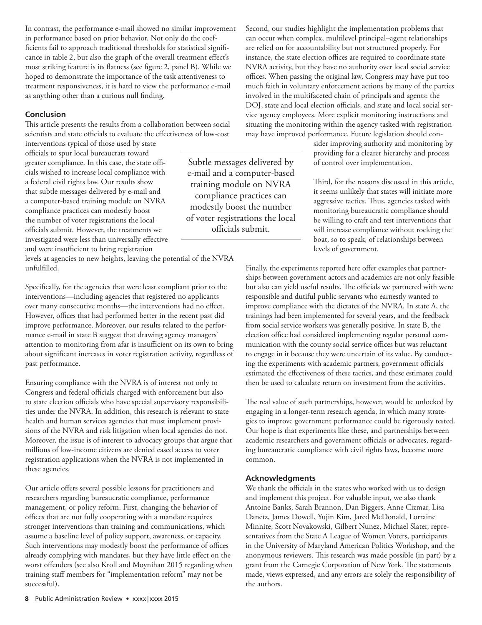In contrast, the performance e-mail showed no similar improvement in performance based on prior behavior. Not only do the coefficients fail to approach traditional thresholds for statistical significance in table 2, but also the graph of the overall treatment effect's most striking feature is its flatness (see figure 2, panel B). While we hoped to demonstrate the importance of the task attentiveness to treatment responsiveness, it is hard to view the performance e-mail as anything other than a curious null finding.

## **Conclusion**

This article presents the results from a collaboration between social scientists and state officials to evaluate the effectiveness of low-cost

interventions typical of those used by state officials to spur local bureaucrats toward greater compliance. In this case, the state officials wished to increase local compliance with a federal civil rights law. Our results show that subtle messages delivered by e-mail and a computer-based training module on NVRA compliance practices can modestly boost the number of voter registrations the local officials submit. However, the treatments we investigated were less than universally effective and were insufficient to bring registration

levels at agencies to new heights, leaving the potential of the NVRA unfulfilled.

Specifically, for the agencies that were least compliant prior to the interventions—including agencies that registered no applicants over many consecutive months—the interventions had no effect. However, offices that had performed better in the recent past did improve performance. Moreover, our results related to the performance e-mail in state B suggest that drawing agency managers' attention to monitoring from afar is insufficient on its own to bring about significant increases in voter registration activity, regardless of past performance.

Ensuring compliance with the NVRA is of interest not only to Congress and federal officials charged with enforcement but also to state election officials who have special supervisory responsibilities under the NVRA. In addition, this research is relevant to state health and human services agencies that must implement provisions of the NVRA and risk litigation when local agencies do not. Moreover, the issue is of interest to advocacy groups that argue that millions of low-income citizens are denied eased access to voter registration applications when the NVRA is not implemented in these agencies.

Our article offers several possible lessons for practitioners and researchers regarding bureaucratic compliance, performance management, or policy reform. First, changing the behavior of offices that are not fully cooperating with a mandate requires stronger interventions than training and communications, which assume a baseline level of policy support, awareness, or capacity. Such interventions may modestly boost the performance of offices already complying with mandates, but they have little effect on the worst offenders (see also Kroll and Moynihan 2015 regarding when training staff members for "implementation reform" may not be successful).

Subtle messages delivered by e-mail and a computer-based training module on NVRA compliance practices can modestly boost the number of voter registrations the local officials submit.

Second, our studies highlight the implementation problems that can occur when complex, multilevel principal–agent relationships are relied on for accountability but not structured properly. For instance, the state election offices are required to coordinate state NVRA activity, but they have no authority over local social service offices. When passing the original law, Congress may have put too much faith in voluntary enforcement actions by many of the parties involved in the multifaceted chain of principals and agents: the DOJ, state and local election officials, and state and local social service agency employees. More explicit monitoring instructions and situating the monitoring within the agency tasked with registration may have improved performance. Future legislation should con-

> sider improving authority and monitoring by providing for a clearer hierarchy and process of control over implementation.

> Third, for the reasons discussed in this article, it seems unlikely that states will initiate more aggressive tactics. Thus, agencies tasked with monitoring bureaucratic compliance should be willing to craft and test interventions that will increase compliance without rocking the boat, so to speak, of relationships between levels of government.

Finally, the experiments reported here offer examples that partnerships between government actors and academics are not only feasible but also can yield useful results. The officials we partnered with were responsible and dutiful public servants who earnestly wanted to improve compliance with the dictates of the NVRA. In state A, the trainings had been implemented for several years, and the feedback from social service workers was generally positive. In state B, the election office had considered implementing regular personal communication with the county social service offices but was reluctant to engage in it because they were uncertain of its value. By conducting the experiments with academic partners, government officials estimated the effectiveness of these tactics, and these estimates could then be used to calculate return on investment from the activities.

The real value of such partnerships, however, would be unlocked by engaging in a longer-term research agenda, in which many strategies to improve government performance could be rigorously tested. Our hope is that experiments like these, and partnerships between academic researchers and government officials or advocates, regarding bureaucratic compliance with civil rights laws, become more common.

#### **Acknowledgments**

We thank the officials in the states who worked with us to design and implement this project. For valuable input, we also thank Antoine Banks, Sarah Brannon, Dan Biggers, Anne Cizmar, Lisa Danetz, James Dowell, Yujin Kim, Jared McDonald, Lorraine Minnite, Scott Novakowski, Gilbert Nunez, Michael Slater, representatives from the State A League of Women Voters, participants in the University of Maryland American Politics Workshop, and the anonymous reviewers. This research was made possible (in part) by a grant from the Carnegie Corporation of New York. The statements made, views expressed, and any errors are solely the responsibility of the authors.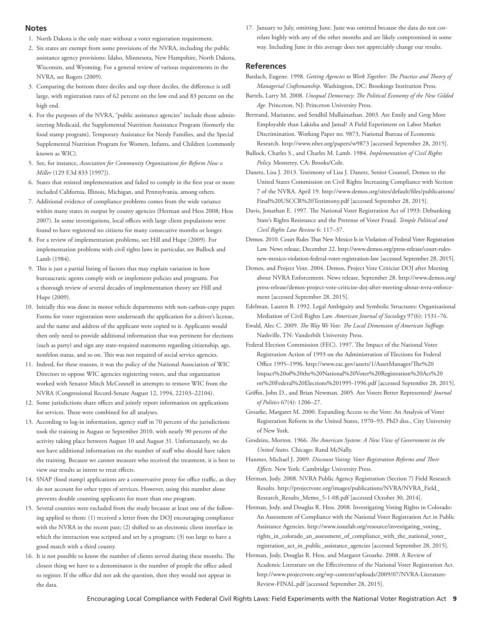#### **Notes**

- 1. North Dakota is the only state without a voter registration requirement.
- 2. Six states are exempt from some provisions of the NVRA, including the public assistance agency provisions: Idaho, Minnesota, New Hampshire, North Dakota, Wisconsin, and Wyoming. For a general review of various requirements in the NVRA, see Rogers (2009).
- 3. Comparing the bottom three deciles and top three deciles, the difference is still large, with registration rates of 62 percent on the low end and 83 percent on the high end.
- 4. For the purposes of the NVRA, "public assistance agencies" include those administering Medicaid, the Supplemental Nutrition Assistance Program (formerly the food stamp program), Temporary Assistance for Needy Families, and the Special Supplemental Nutrition Program for Women, Infants, and Children (commonly known as WIC).
- 5. See, for instance, *Association for Community Organizations for Reform Now v. Miller* (129 F.3d 833 [1997]).
- 6. States that resisted implementation and failed to comply in the first year or more included California, Illinois, Michigan, and Pennsylvania, among others.
- 7. Additional evidence of compliance problems comes from the wide variance within many states in output by county agencies (Herman and Hess 2008; Hess 2007). In some investigations, local offices with large client populations were found to have registered no citizens for many consecutive months or longer.
- 8. For a review of implementation problems, see Hill and Hupe (2009). For implementation problems with civil rights laws in particular, see Bullock and Lamb (1984).
- 9. This is just a partial listing of factors that may explain variation in how bureaucratic agents comply with or implement policies and programs. For a thorough review of several decades of implementation theory see Hill and Hupe (2009).
- 10. Initially this was done in motor vehicle departments with non-carbon-copy paper. Forms for voter registration were underneath the application for a driver's license, and the name and address of the applicant were copied to it. Applicants would then only need to provide additional information that was pertinent for elections (such as party) and sign any state-required statements regarding citizenship, age, nonfelon status, and so on. This was not required of social service agencies.
- 11. Indeed, for these reasons, it was the policy of the National Association of WIC Directors to oppose WIC agencies registering voters, and that organization worked with Senator Mitch McConnell in attempts to remove WIC from the NVRA (Congressional Record-Senate August 12, 1994, 22103–22104).
- 12. Some jurisdictions share offices and jointly report information on applications for services. These were combined for all analyses.
- 13. According to log-in information, agency staff in 70 percent of the jurisdictions took the training in August or September 2010, with nearly 90 percent of the activity taking place between August 10 and August 31. Unfortunately, we do not have additional information on the number of staff who should have taken the training. Because we cannot measure who received the treatment, it is best to view our results as intent to treat effects.
- 14. SNAP (food stamp) applications are a conservative proxy for office traffic, as they do not account for other types of services. However, using this number alone prevents double counting applicants for more than one program.
- 15. Several counties were excluded from the study because at least one of the following applied to them: (1) received a letter from the DOJ encouraging compliance with the NVRA in the recent past; (2) shifted to an electronic client interface in which the interaction was scripted and set by a program; (3) too large to have a good match with a third county.
- 16. It is not possible to know the number of clients served during these months. The closest thing we have to a denominator is the number of people the office asked to register. If the office did not ask the question, then they would not appear in the data.

17. January to July, omitting June. June was omitted because the data do not correlate highly with any of the other months and are likely compromised in some way. Including June in this average does not appreciably change our results.

#### **References**

- Bardach, Eugene. 1998. *Getting Agencies to Work Together: The Practice and Theory of Managerial Craftsmanship.* Washington, DC: Brookings Institution Press.
- Bartels, Larry M. 2008. *Unequal Democracy: The Political Economy of the New Gilded Age.* Princeton, NJ: Princeton University Press.
- Bertrand, Marianne, and Sendhil Mullainathan. 2003. Are Emily and Greg More Employable than Lakisha and Jamal? A Field Experiment on Labor Market Discrimination. Working Paper no. 9873, National Bureau of Economic Research. http://www.nber.org/papers/w9873 [accessed September 28, 2015].
- Bullock, Charles S., and Charles M. Lamb. 1984. *Implementation of Civil Rights Policy.* Monterey, CA: Brooks/Cole.
- Danetz, Lisa J. 2013. Testimony of Lisa J. Danetz, Senior Counsel, Demos to the United States Commission on Civil Rights Increasing Compliance with Section 7 of the NVRA. April 19. http://www.demos.org/sites/default/files/publications/ Final%20USCCR%20Testimony.pdf [accessed September 28, 2015].
- Davis, Jonathan E. 1997. The National Voter Registration Act of 1993: Debunking State's Rights Resistance and the Pretense of Voter Fraud. *Temple Political and Civil Rights Law Review* 6: 117–37.
- Demos. 2010. Court Rules That New Mexico Is in Violation of Federal Voter Registration Law. News release, December 22. http://www.demos.org/press-release/court-rulesnew-mexico-violation-federal-voter-registration-law [accessed September 28, 2015].
- Demos, and Project Vote. 2004. Demos, Project Vote Criticize DOJ after Meeting about NVRA Enforcement. News release, September 28. http://www.demos.org/ press-release/demos-project-vote-criticize-doj-after-meeting-about-nvra-enforcement [accessed September 28, 2015].
- Edelman, Lauren B. 1992. Legal Ambiguity and Symbolic Structures: Organizational Mediation of Civil Rights Law. *American Journal of Sociology* 97(6): 1531–76.
- Ewald, Alec C. 2009. *The Way We Vote: The Local Dimension of American Suffrage.* Nashville, TN: Vanderbilt University Press.
- Federal Election Commission (FEC). 1997. The Impact of the National Voter Registration Action of 1993 on the Administration of Elections for Federal Office 1995-1996. http://www.eac.gov/assets/1/AssetManager/The%20 Impact%20of%20the%20National%20Voter%20Registration%20Act%20 on%20Federal%20Elections%201995-1996.pdf [accessed September 28, 2015].
- Griffin, John D., and Brian Newman. 2005. Are Voters Better Represented? *Journal of Politics* 67(4): 1206–27.
- Groarke, Margaret M. 2000. Expanding Access to the Vote: An Analysis of Voter Registration Reform in the United States, 1970–93. PhD diss., City University of New York.
- Grodzins, Morton. 1966. *The American System: A New View of Government in the United States.* Chicago: Rand McNally.
- Hanmer, Michael J. 2009. *Discount Voting: Voter Registration Reforms and Their* Effects. New York: Cambridge University Press.
- Herman, Jody. 2008. NVRA Public Agency Registration (Section 7) Field Research Results. http://projectvote.org/images/publications/NVRA/NVRA\_Field\_ Research\_Results\_Memo\_5-1-08.pdf [accessed October 30, 2014].
- Herman, Jody, and Douglas R. Hess. 2008. Investigating Voting Rights in Colorado: An Assessment of Compliance with the National Voter Registration Act in Public Assistance Agencies. http://www.issuelab.org/resource/investigating\_voting\_ rights\_in\_colorado\_an\_assessment\_of\_compliance\_with\_the\_national\_voter\_ registration\_act\_in\_public\_assistance\_agencies [accessed September 28, 2015].
- Herman, Jody, Douglas R. Hess, and Margaret Groarke. 2008. A Review of Academic Literature on the Effectiveness of the National Voter Registration Act. http://www.projectvote.org/wp-content/uploads/2009/07/NVRA-Literature-Review-FINAL.pdf [accessed September 28, 2015].